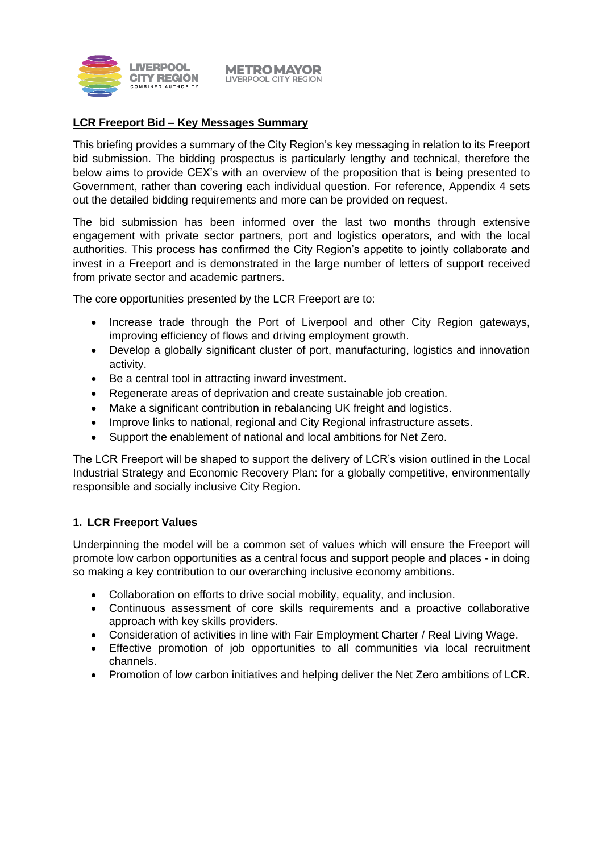

#### **METROMAYOR** LIVERPOOL CITY REGION

#### **LCR Freeport Bid – Key Messages Summary**

This briefing provides a summary of the City Region's key messaging in relation to its Freeport bid submission. The bidding prospectus is particularly lengthy and technical, therefore the below aims to provide CEX's with an overview of the proposition that is being presented to Government, rather than covering each individual question. For reference, Appendix 4 sets out the detailed bidding requirements and more can be provided on request.

The bid submission has been informed over the last two months through extensive engagement with private sector partners, port and logistics operators, and with the local authorities. This process has confirmed the City Region's appetite to jointly collaborate and invest in a Freeport and is demonstrated in the large number of letters of support received from private sector and academic partners.

The core opportunities presented by the LCR Freeport are to:

- Increase trade through the Port of Liverpool and other City Region gateways, improving efficiency of flows and driving employment growth.
- Develop a globally significant cluster of port, manufacturing, logistics and innovation activity.
- Be a central tool in attracting inward investment.
- Regenerate areas of deprivation and create sustainable job creation.
- Make a significant contribution in rebalancing UK freight and logistics.
- Improve links to national, regional and City Regional infrastructure assets.
- Support the enablement of national and local ambitions for Net Zero.

The LCR Freeport will be shaped to support the delivery of LCR's vision outlined in the Local Industrial Strategy and Economic Recovery Plan: for a globally competitive, environmentally responsible and socially inclusive City Region.

#### **1. LCR Freeport Values**

Underpinning the model will be a common set of values which will ensure the Freeport will promote low carbon opportunities as a central focus and support people and places - in doing so making a key contribution to our overarching inclusive economy ambitions.

- Collaboration on efforts to drive social mobility, equality, and inclusion.
- Continuous assessment of core skills requirements and a proactive collaborative approach with key skills providers.
- Consideration of activities in line with Fair Employment Charter / Real Living Wage.
- Effective promotion of job opportunities to all communities via local recruitment channels.
- Promotion of low carbon initiatives and helping deliver the Net Zero ambitions of LCR.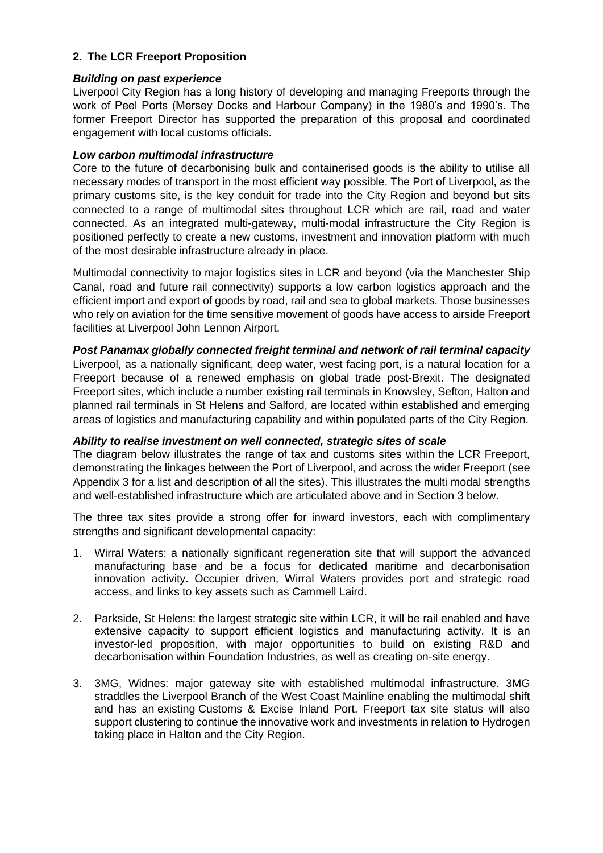# **2. The LCR Freeport Proposition**

#### *Building on past experience*

Liverpool City Region has a long history of developing and managing Freeports through the work of Peel Ports (Mersey Docks and Harbour Company) in the 1980's and 1990's. The former Freeport Director has supported the preparation of this proposal and coordinated engagement with local customs officials.

# *Low carbon multimodal infrastructure*

Core to the future of decarbonising bulk and containerised goods is the ability to utilise all necessary modes of transport in the most efficient way possible. The Port of Liverpool, as the primary customs site, is the key conduit for trade into the City Region and beyond but sits connected to a range of multimodal sites throughout LCR which are rail, road and water connected. As an integrated multi-gateway, multi-modal infrastructure the City Region is positioned perfectly to create a new customs, investment and innovation platform with much of the most desirable infrastructure already in place.

Multimodal connectivity to major logistics sites in LCR and beyond (via the Manchester Ship Canal, road and future rail connectivity) supports a low carbon logistics approach and the efficient import and export of goods by road, rail and sea to global markets. Those businesses who rely on aviation for the time sensitive movement of goods have access to airside Freeport facilities at Liverpool John Lennon Airport.

## *Post Panamax globally connected freight terminal and network of rail terminal capacity*

Liverpool, as a nationally significant, deep water, west facing port, is a natural location for a Freeport because of a renewed emphasis on global trade post-Brexit. The designated Freeport sites, which include a number existing rail terminals in Knowsley, Sefton, Halton and planned rail terminals in St Helens and Salford, are located within established and emerging areas of logistics and manufacturing capability and within populated parts of the City Region.

#### *Ability to realise investment on well connected, strategic sites of scale*

The diagram below illustrates the range of tax and customs sites within the LCR Freeport, demonstrating the linkages between the Port of Liverpool, and across the wider Freeport (see Appendix 3 for a list and description of all the sites). This illustrates the multi modal strengths and well-established infrastructure which are articulated above and in Section 3 below.

The three tax sites provide a strong offer for inward investors, each with complimentary strengths and significant developmental capacity:

- 1. Wirral Waters: a nationally significant regeneration site that will support the advanced manufacturing base and be a focus for dedicated maritime and decarbonisation innovation activity. Occupier driven, Wirral Waters provides port and strategic road access, and links to key assets such as Cammell Laird.
- 2. Parkside, St Helens: the largest strategic site within LCR, it will be rail enabled and have extensive capacity to support efficient logistics and manufacturing activity. It is an investor-led proposition, with major opportunities to build on existing R&D and decarbonisation within Foundation Industries, as well as creating on-site energy.
- 3. 3MG, Widnes: major gateway site with established multimodal infrastructure. 3MG straddles the Liverpool Branch of the West Coast Mainline enabling the multimodal shift and has an existing Customs & Excise Inland Port. Freeport tax site status will also support clustering to continue the innovative work and investments in relation to Hydrogen taking place in Halton and the City Region.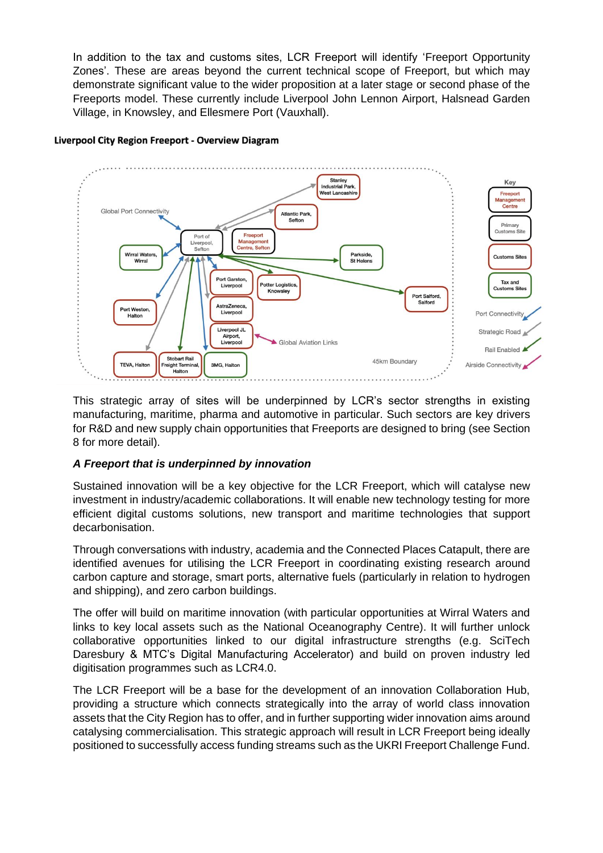In addition to the tax and customs sites, LCR Freeport will identify 'Freeport Opportunity Zones'. These are areas beyond the current technical scope of Freeport, but which may demonstrate significant value to the wider proposition at a later stage or second phase of the Freeports model. These currently include Liverpool John Lennon Airport, Halsnead Garden Village, in Knowsley, and Ellesmere Port (Vauxhall).

#### Liverpool City Region Freeport - Overview Diagram



This strategic array of sites will be underpinned by LCR's sector strengths in existing manufacturing, maritime, pharma and automotive in particular. Such sectors are key drivers for R&D and new supply chain opportunities that Freeports are designed to bring (see Section 8 for more detail).

# *A Freeport that is underpinned by innovation*

Sustained innovation will be a key objective for the LCR Freeport, which will catalyse new investment in industry/academic collaborations. It will enable new technology testing for more efficient digital customs solutions, new transport and maritime technologies that support decarbonisation.

Through conversations with industry, academia and the Connected Places Catapult, there are identified avenues for utilising the LCR Freeport in coordinating existing research around carbon capture and storage, smart ports, alternative fuels (particularly in relation to hydrogen and shipping), and zero carbon buildings.

The offer will build on maritime innovation (with particular opportunities at Wirral Waters and links to key local assets such as the National Oceanography Centre). It will further unlock collaborative opportunities linked to our digital infrastructure strengths (e.g. SciTech Daresbury & MTC's Digital Manufacturing Accelerator) and build on proven industry led digitisation programmes such as LCR4.0.

The LCR Freeport will be a base for the development of an innovation Collaboration Hub, providing a structure which connects strategically into the array of world class innovation assets that the City Region has to offer, and in further supporting wider innovation aims around catalysing commercialisation. This strategic approach will result in LCR Freeport being ideally positioned to successfully access funding streams such as the UKRI Freeport Challenge Fund.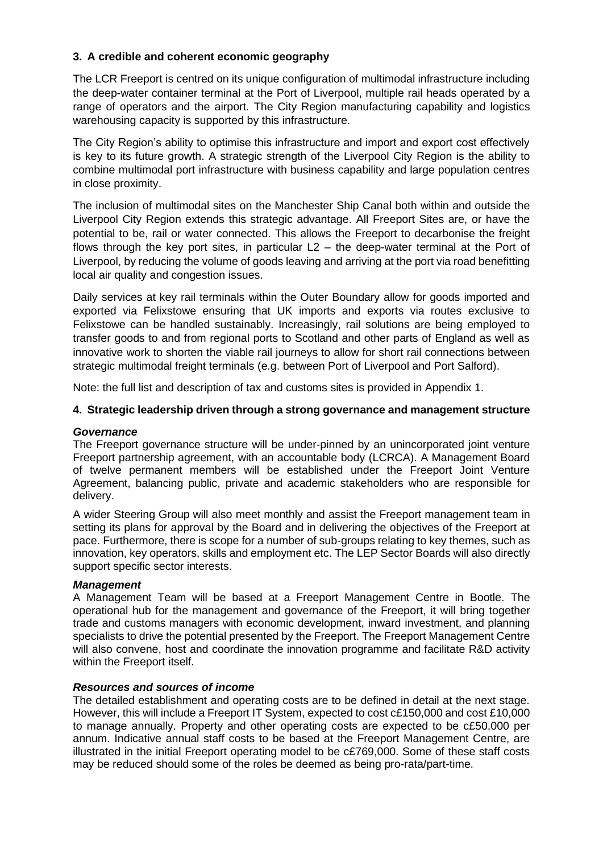# **3. A credible and coherent economic geography**

The LCR Freeport is centred on its unique configuration of multimodal infrastructure including the deep-water container terminal at the Port of Liverpool, multiple rail heads operated by a range of operators and the airport. The City Region manufacturing capability and logistics warehousing capacity is supported by this infrastructure.

The City Region's ability to optimise this infrastructure and import and export cost effectively is key to its future growth. A strategic strength of the Liverpool City Region is the ability to combine multimodal port infrastructure with business capability and large population centres in close proximity.

The inclusion of multimodal sites on the Manchester Ship Canal both within and outside the Liverpool City Region extends this strategic advantage. All Freeport Sites are, or have the potential to be, rail or water connected. This allows the Freeport to decarbonise the freight flows through the key port sites, in particular  $L2 -$  the deep-water terminal at the Port of Liverpool, by reducing the volume of goods leaving and arriving at the port via road benefitting local air quality and congestion issues.

Daily services at key rail terminals within the Outer Boundary allow for goods imported and exported via Felixstowe ensuring that UK imports and exports via routes exclusive to Felixstowe can be handled sustainably. Increasingly, rail solutions are being employed to transfer goods to and from regional ports to Scotland and other parts of England as well as innovative work to shorten the viable rail journeys to allow for short rail connections between strategic multimodal freight terminals (e.g. between Port of Liverpool and Port Salford).

Note: the full list and description of tax and customs sites is provided in Appendix 1.

#### **4. Strategic leadership driven through a strong governance and management structure**

#### *Governance*

The Freeport governance structure will be under-pinned by an unincorporated joint venture Freeport partnership agreement, with an accountable body (LCRCA). A Management Board of twelve permanent members will be established under the Freeport Joint Venture Agreement, balancing public, private and academic stakeholders who are responsible for delivery.

A wider Steering Group will also meet monthly and assist the Freeport management team in setting its plans for approval by the Board and in delivering the objectives of the Freeport at pace. Furthermore, there is scope for a number of sub-groups relating to key themes, such as innovation, key operators, skills and employment etc. The LEP Sector Boards will also directly support specific sector interests.

#### *Management*

A Management Team will be based at a Freeport Management Centre in Bootle. The operational hub for the management and governance of the Freeport, it will bring together trade and customs managers with economic development, inward investment, and planning specialists to drive the potential presented by the Freeport. The Freeport Management Centre will also convene, host and coordinate the innovation programme and facilitate R&D activity within the Freeport itself.

#### *Resources and sources of income*

The detailed establishment and operating costs are to be defined in detail at the next stage. However, this will include a Freeport IT System, expected to cost c£150,000 and cost £10,000 to manage annually. Property and other operating costs are expected to be c£50,000 per annum. Indicative annual staff costs to be based at the Freeport Management Centre, are illustrated in the initial Freeport operating model to be c£769,000. Some of these staff costs may be reduced should some of the roles be deemed as being pro-rata/part-time.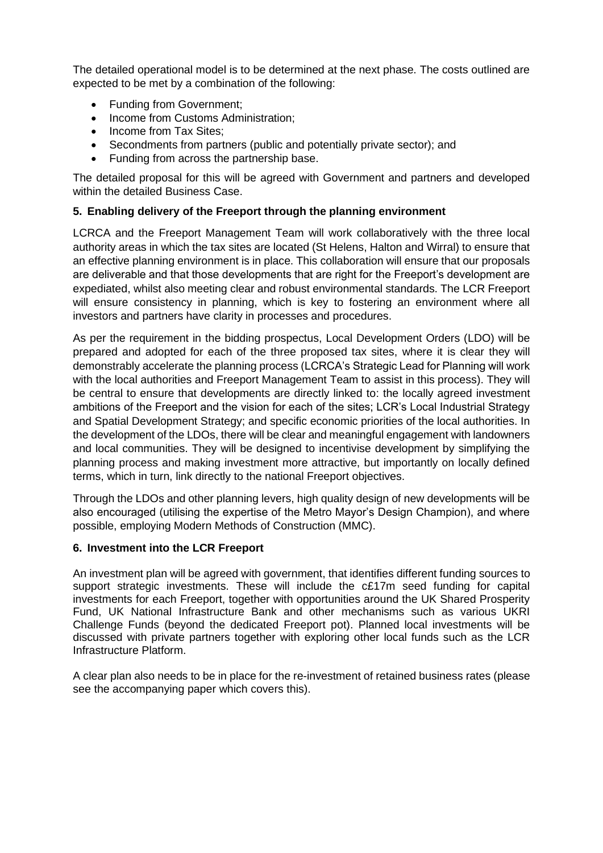The detailed operational model is to be determined at the next phase. The costs outlined are expected to be met by a combination of the following:

- Funding from Government;
- Income from Customs Administration;
- Income from Tax Sites:
- Secondments from partners (public and potentially private sector); and
- Funding from across the partnership base.

The detailed proposal for this will be agreed with Government and partners and developed within the detailed Business Case.

# **5. Enabling delivery of the Freeport through the planning environment**

LCRCA and the Freeport Management Team will work collaboratively with the three local authority areas in which the tax sites are located (St Helens, Halton and Wirral) to ensure that an effective planning environment is in place. This collaboration will ensure that our proposals are deliverable and that those developments that are right for the Freeport's development are expediated, whilst also meeting clear and robust environmental standards. The LCR Freeport will ensure consistency in planning, which is key to fostering an environment where all investors and partners have clarity in processes and procedures.

As per the requirement in the bidding prospectus, Local Development Orders (LDO) will be prepared and adopted for each of the three proposed tax sites, where it is clear they will demonstrably accelerate the planning process (LCRCA's Strategic Lead for Planning will work with the local authorities and Freeport Management Team to assist in this process). They will be central to ensure that developments are directly linked to: the locally agreed investment ambitions of the Freeport and the vision for each of the sites; LCR's Local Industrial Strategy and Spatial Development Strategy; and specific economic priorities of the local authorities. In the development of the LDOs, there will be clear and meaningful engagement with landowners and local communities. They will be designed to incentivise development by simplifying the planning process and making investment more attractive, but importantly on locally defined terms, which in turn, link directly to the national Freeport objectives.

Through the LDOs and other planning levers, high quality design of new developments will be also encouraged (utilising the expertise of the Metro Mayor's Design Champion), and where possible, employing Modern Methods of Construction (MMC).

#### **6. Investment into the LCR Freeport**

An investment plan will be agreed with government, that identifies different funding sources to support strategic investments. These will include the c£17m seed funding for capital investments for each Freeport, together with opportunities around the UK Shared Prosperity Fund, UK National Infrastructure Bank and other mechanisms such as various UKRI Challenge Funds (beyond the dedicated Freeport pot). Planned local investments will be discussed with private partners together with exploring other local funds such as the LCR Infrastructure Platform.

A clear plan also needs to be in place for the re-investment of retained business rates (please see the accompanying paper which covers this).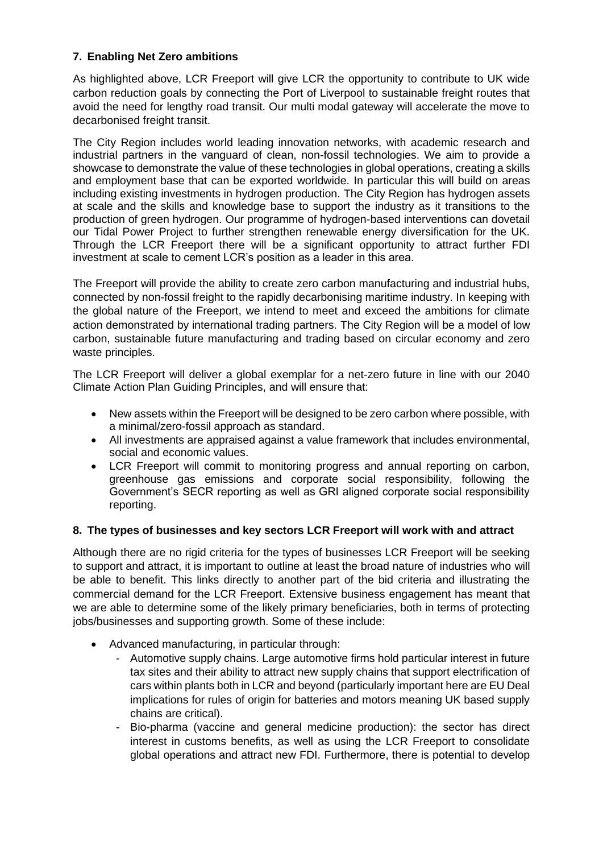# **7. Enabling Net Zero ambitions**

As highlighted above, LCR Freeport will give LCR the opportunity to contribute to UK wide carbon reduction goals by connecting the Port of Liverpool to sustainable freight routes that avoid the need for lengthy road transit. Our multi modal gateway will accelerate the move to decarbonised freight transit.

The City Region includes world leading innovation networks, with academic research and industrial partners in the vanguard of clean, non-fossil technologies. We aim to provide a showcase to demonstrate the value of these technologies in global operations, creating a skills and employment base that can be exported worldwide. In particular this will build on areas including existing investments in hydrogen production. The City Region has hydrogen assets at scale and the skills and knowledge base to support the industry as it transitions to the production of green hydrogen. Our programme of hydrogen-based interventions can dovetail our Tidal Power Project to further strengthen renewable energy diversification for the UK. Through the LCR Freeport there will be a significant opportunity to attract further FDI investment at scale to cement LCR's position as a leader in this area.

The Freeport will provide the ability to create zero carbon manufacturing and industrial hubs, connected by non-fossil freight to the rapidly decarbonising maritime industry. In keeping with the global nature of the Freeport, we intend to meet and exceed the ambitions for climate action demonstrated by international trading partners. The City Region will be a model of low carbon, sustainable future manufacturing and trading based on circular economy and zero waste principles.

The LCR Freeport will deliver a global exemplar for a net-zero future in line with our 2040 Climate Action Plan Guiding Principles, and will ensure that:

- New assets within the Freeport will be designed to be zero carbon where possible, with a minimal/zero-fossil approach as standard.
- All investments are appraised against a value framework that includes environmental, social and economic values.
- LCR Freeport will commit to monitoring progress and annual reporting on carbon, greenhouse gas emissions and corporate social responsibility, following the Government's SECR reporting as well as GRI aligned corporate social responsibility reporting.

# **8. The types of businesses and key sectors LCR Freeport will work with and attract**

Although there are no rigid criteria for the types of businesses LCR Freeport will be seeking to support and attract, it is important to outline at least the broad nature of industries who will be able to benefit. This links directly to another part of the bid criteria and illustrating the commercial demand for the LCR Freeport. Extensive business engagement has meant that we are able to determine some of the likely primary beneficiaries, both in terms of protecting iobs/businesses and supporting growth. Some of these include:

- Advanced manufacturing, in particular through:
	- Automotive supply chains. Large automotive firms hold particular interest in future tax sites and their ability to attract new supply chains that support electrification of cars within plants both in LCR and beyond (particularly important here are EU Deal implications for rules of origin for batteries and motors meaning UK based supply chains are critical).
	- Bio-pharma (vaccine and general medicine production): the sector has direct interest in customs benefits, as well as using the LCR Freeport to consolidate global operations and attract new FDI. Furthermore, there is potential to develop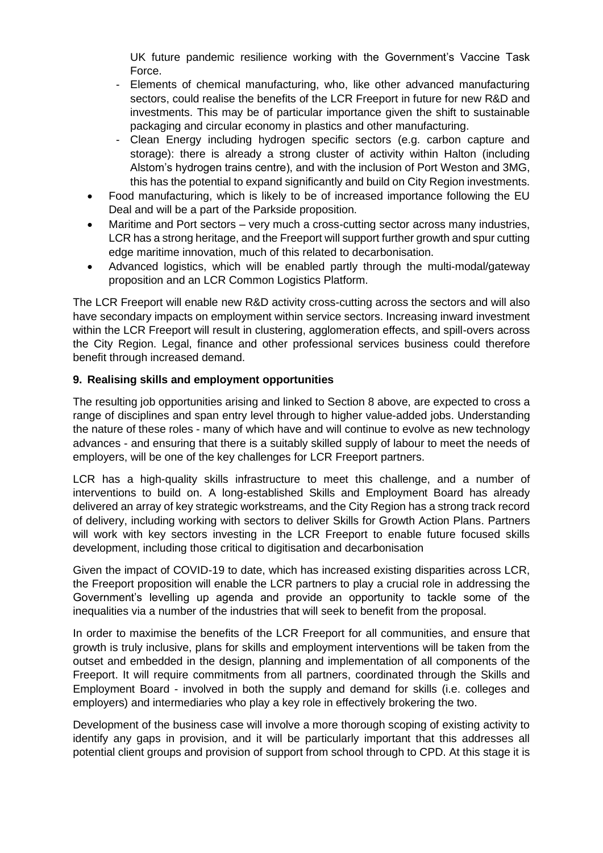UK future pandemic resilience working with the Government's Vaccine Task Force.

- Elements of chemical manufacturing, who, like other advanced manufacturing sectors, could realise the benefits of the LCR Freeport in future for new R&D and investments. This may be of particular importance given the shift to sustainable packaging and circular economy in plastics and other manufacturing.
- Clean Energy including hydrogen specific sectors (e.g. carbon capture and storage): there is already a strong cluster of activity within Halton (including Alstom's hydrogen trains centre), and with the inclusion of Port Weston and 3MG, this has the potential to expand significantly and build on City Region investments.
- Food manufacturing, which is likely to be of increased importance following the EU Deal and will be a part of the Parkside proposition.
- Maritime and Port sectors very much a cross-cutting sector across many industries, LCR has a strong heritage, and the Freeport will support further growth and spur cutting edge maritime innovation, much of this related to decarbonisation.
- Advanced logistics, which will be enabled partly through the multi-modal/gateway proposition and an LCR Common Logistics Platform.

The LCR Freeport will enable new R&D activity cross-cutting across the sectors and will also have secondary impacts on employment within service sectors. Increasing inward investment within the LCR Freeport will result in clustering, agglomeration effects, and spill-overs across the City Region. Legal, finance and other professional services business could therefore benefit through increased demand.

# **9. Realising skills and employment opportunities**

The resulting job opportunities arising and linked to Section 8 above, are expected to cross a range of disciplines and span entry level through to higher value-added jobs. Understanding the nature of these roles - many of which have and will continue to evolve as new technology advances - and ensuring that there is a suitably skilled supply of labour to meet the needs of employers, will be one of the key challenges for LCR Freeport partners.

LCR has a high-quality skills infrastructure to meet this challenge, and a number of interventions to build on. A long-established Skills and Employment Board has already delivered an array of key strategic workstreams, and the City Region has a strong track record of delivery, including working with sectors to deliver Skills for Growth Action Plans. Partners will work with key sectors investing in the LCR Freeport to enable future focused skills development, including those critical to digitisation and decarbonisation

Given the impact of COVID-19 to date, which has increased existing disparities across LCR, the Freeport proposition will enable the LCR partners to play a crucial role in addressing the Government's levelling up agenda and provide an opportunity to tackle some of the inequalities via a number of the industries that will seek to benefit from the proposal.

In order to maximise the benefits of the LCR Freeport for all communities, and ensure that growth is truly inclusive, plans for skills and employment interventions will be taken from the outset and embedded in the design, planning and implementation of all components of the Freeport. It will require commitments from all partners, coordinated through the Skills and Employment Board - involved in both the supply and demand for skills (i.e. colleges and employers) and intermediaries who play a key role in effectively brokering the two.

Development of the business case will involve a more thorough scoping of existing activity to identify any gaps in provision, and it will be particularly important that this addresses all potential client groups and provision of support from school through to CPD. At this stage it is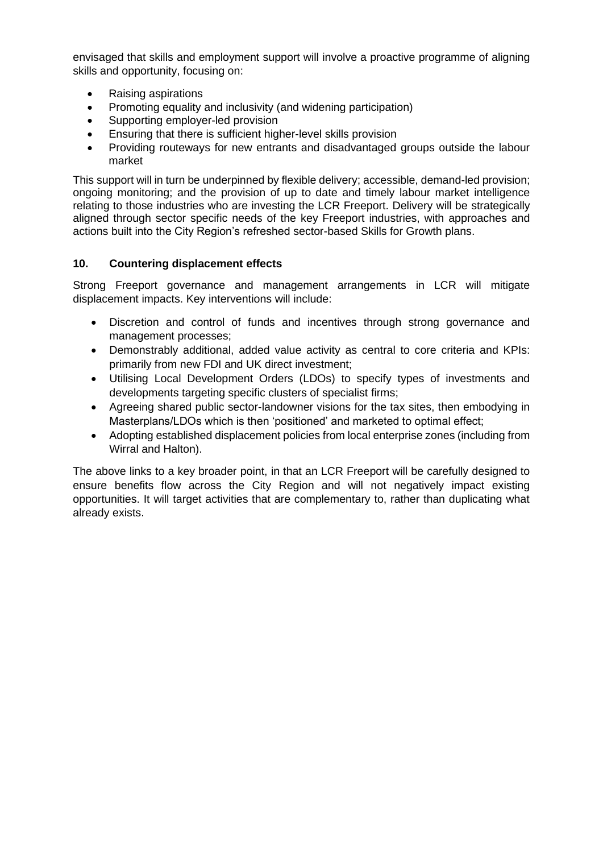envisaged that skills and employment support will involve a proactive programme of aligning skills and opportunity, focusing on:

- Raising aspirations
- Promoting equality and inclusivity (and widening participation)
- Supporting employer-led provision
- Ensuring that there is sufficient higher-level skills provision
- Providing routeways for new entrants and disadvantaged groups outside the labour market

This support will in turn be underpinned by flexible delivery; accessible, demand-led provision; ongoing monitoring; and the provision of up to date and timely labour market intelligence relating to those industries who are investing the LCR Freeport. Delivery will be strategically aligned through sector specific needs of the key Freeport industries, with approaches and actions built into the City Region's refreshed sector-based Skills for Growth plans.

## **10. Countering displacement effects**

Strong Freeport governance and management arrangements in LCR will mitigate displacement impacts. Key interventions will include:

- Discretion and control of funds and incentives through strong governance and management processes;
- Demonstrably additional, added value activity as central to core criteria and KPIs: primarily from new FDI and UK direct investment;
- Utilising Local Development Orders (LDOs) to specify types of investments and developments targeting specific clusters of specialist firms;
- Agreeing shared public sector-landowner visions for the tax sites, then embodying in Masterplans/LDOs which is then 'positioned' and marketed to optimal effect;
- Adopting established displacement policies from local enterprise zones (including from Wirral and Halton).

The above links to a key broader point, in that an LCR Freeport will be carefully designed to ensure benefits flow across the City Region and will not negatively impact existing opportunities. It will target activities that are complementary to, rather than duplicating what already exists.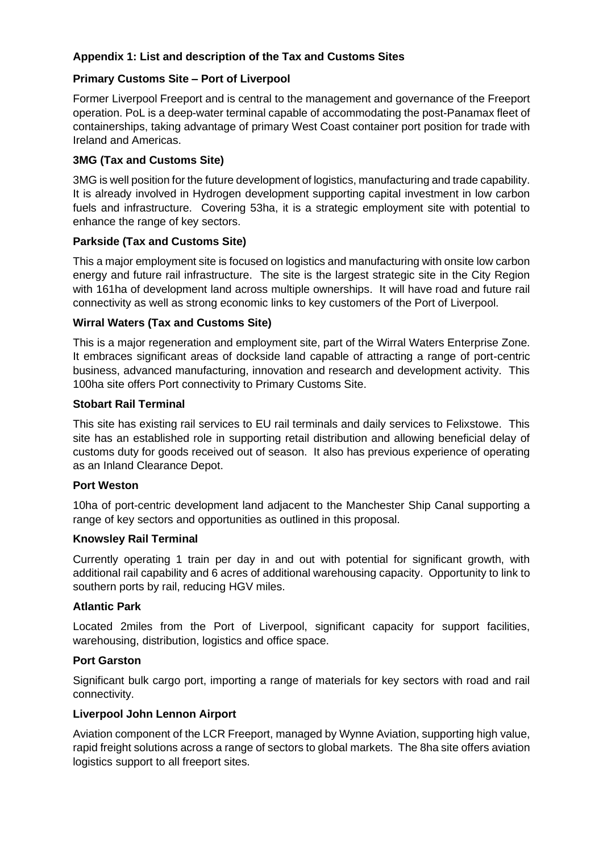# **Appendix 1: List and description of the Tax and Customs Sites**

## **Primary Customs Site – Port of Liverpool**

Former Liverpool Freeport and is central to the management and governance of the Freeport operation. PoL is a deep-water terminal capable of accommodating the post-Panamax fleet of containerships, taking advantage of primary West Coast container port position for trade with Ireland and Americas.

#### **3MG (Tax and Customs Site)**

3MG is well position for the future development of logistics, manufacturing and trade capability. It is already involved in Hydrogen development supporting capital investment in low carbon fuels and infrastructure. Covering 53ha, it is a strategic employment site with potential to enhance the range of key sectors.

#### **Parkside (Tax and Customs Site)**

This a major employment site is focused on logistics and manufacturing with onsite low carbon energy and future rail infrastructure. The site is the largest strategic site in the City Region with 161ha of development land across multiple ownerships. It will have road and future rail connectivity as well as strong economic links to key customers of the Port of Liverpool.

## **Wirral Waters (Tax and Customs Site)**

This is a major regeneration and employment site, part of the Wirral Waters Enterprise Zone. It embraces significant areas of dockside land capable of attracting a range of port-centric business, advanced manufacturing, innovation and research and development activity. This 100ha site offers Port connectivity to Primary Customs Site.

#### **Stobart Rail Terminal**

This site has existing rail services to EU rail terminals and daily services to Felixstowe. This site has an established role in supporting retail distribution and allowing beneficial delay of customs duty for goods received out of season. It also has previous experience of operating as an Inland Clearance Depot.

#### **Port Weston**

10ha of port-centric development land adjacent to the Manchester Ship Canal supporting a range of key sectors and opportunities as outlined in this proposal.

#### **Knowsley Rail Terminal**

Currently operating 1 train per day in and out with potential for significant growth, with additional rail capability and 6 acres of additional warehousing capacity. Opportunity to link to southern ports by rail, reducing HGV miles.

#### **Atlantic Park**

Located 2miles from the Port of Liverpool, significant capacity for support facilities, warehousing, distribution, logistics and office space.

#### **Port Garston**

Significant bulk cargo port, importing a range of materials for key sectors with road and rail connectivity.

#### **Liverpool John Lennon Airport**

Aviation component of the LCR Freeport, managed by Wynne Aviation, supporting high value, rapid freight solutions across a range of sectors to global markets. The 8ha site offers aviation logistics support to all freeport sites.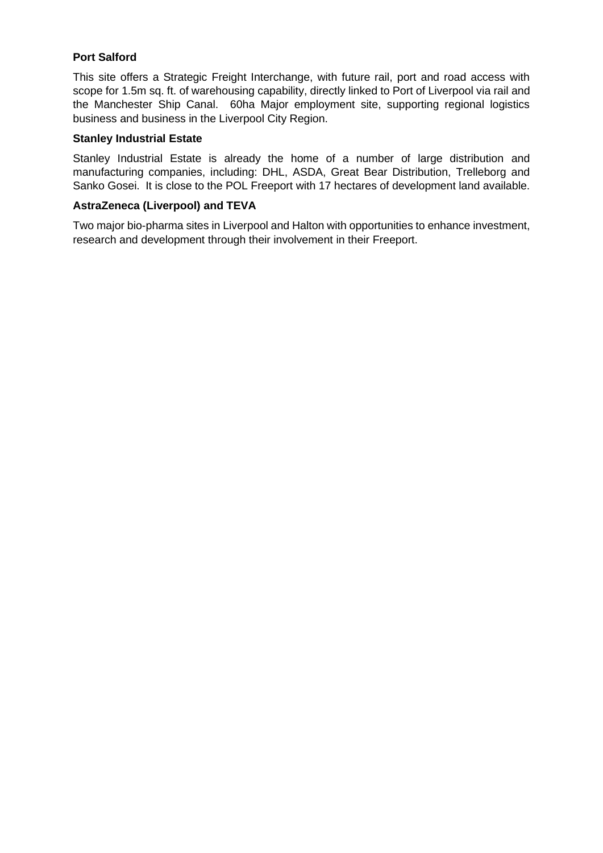# **Port Salford**

This site offers a Strategic Freight Interchange, with future rail, port and road access with scope for 1.5m sq. ft. of warehousing capability, directly linked to Port of Liverpool via rail and the Manchester Ship Canal. 60ha Major employment site, supporting regional logistics business and business in the Liverpool City Region.

#### **Stanley Industrial Estate**

Stanley Industrial Estate is already the home of a number of large distribution and manufacturing companies, including: DHL, ASDA, Great Bear Distribution, Trelleborg and Sanko Gosei. It is close to the POL Freeport with 17 hectares of development land available.

#### **AstraZeneca (Liverpool) and TEVA**

Two major bio-pharma sites in Liverpool and Halton with opportunities to enhance investment, research and development through their involvement in their Freeport.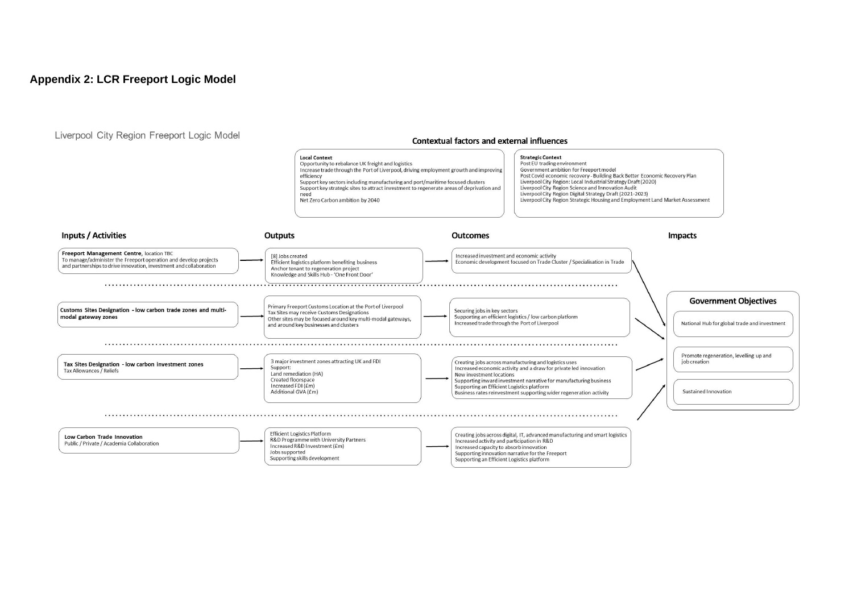#### **Appendix 2: LCR Freeport Logic Model**

Liverpool City Region Freeport Logic Model

#### **Contextual factors and external influences**

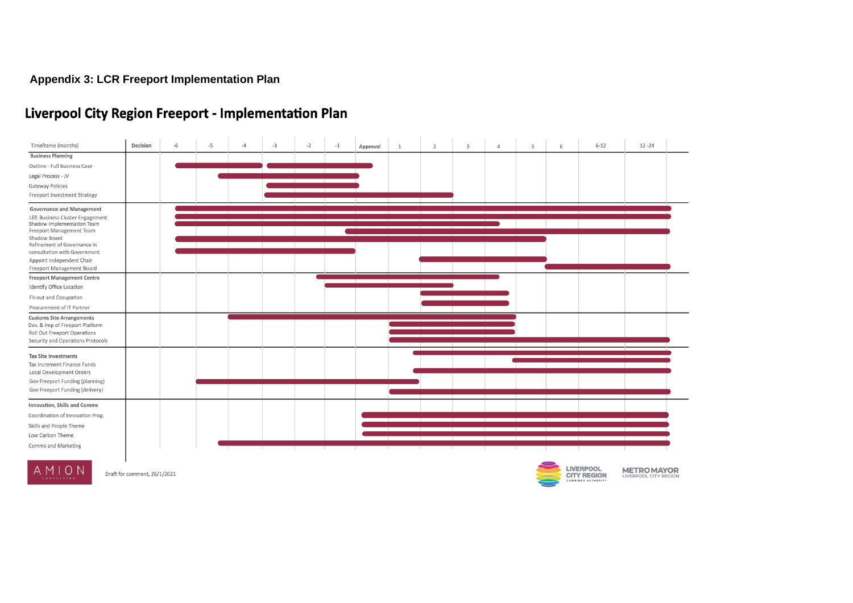# **Appendix 3: LCR Freeport Implementation Plan**

# **Liverpool City Region Freeport - Implementation Plan**

| Timeframe (months)                                                                                                                                                                                            | Decision | $-6$ | $-5$ | $-4$ | $-3$ | $-2$ | $-1$ | Approval | 1 | $\overline{2}$ | $\overline{3}$ | $\Lambda$ | 5 | 6 | $6 - 12$ | $12 - 24$ |
|---------------------------------------------------------------------------------------------------------------------------------------------------------------------------------------------------------------|----------|------|------|------|------|------|------|----------|---|----------------|----------------|-----------|---|---|----------|-----------|
| <b>Business Planning</b>                                                                                                                                                                                      |          |      |      |      |      |      |      |          |   |                |                |           |   |   |          |           |
| Outline - Full Business Case                                                                                                                                                                                  |          |      |      |      |      |      |      |          |   |                |                |           |   |   |          |           |
| Legal Process - JV                                                                                                                                                                                            |          |      |      |      |      |      |      |          |   |                |                |           |   |   |          |           |
| <b>Gateway Policies</b>                                                                                                                                                                                       |          |      |      |      |      |      |      |          |   |                |                |           |   |   |          |           |
| Freeport Investment Strategy                                                                                                                                                                                  |          |      |      |      |      |      |      |          |   |                |                |           |   |   |          |           |
| <b>Governance and Management</b><br>LEP, Business Cluster Engagement<br>Shadow Implementation Team<br>Freeport Management Team<br>Shadow Board<br>Refinement of Governance in<br>consultation with Government |          |      |      |      |      |      |      |          |   |                |                |           |   |   |          |           |
|                                                                                                                                                                                                               |          |      |      |      |      |      |      |          |   |                |                |           |   |   |          |           |
|                                                                                                                                                                                                               |          |      |      |      |      |      |      |          |   |                |                |           |   |   |          |           |
|                                                                                                                                                                                                               |          |      |      |      |      |      |      |          |   |                |                |           |   |   |          |           |
|                                                                                                                                                                                                               |          |      |      |      |      |      |      |          |   |                |                |           |   |   |          |           |
| Appoint Independent Chair                                                                                                                                                                                     |          |      |      |      |      |      |      |          |   |                |                |           |   |   |          |           |
| Freeport Management Board                                                                                                                                                                                     |          |      |      |      |      |      |      |          |   |                |                |           |   |   |          |           |
| <b>Freeport Management Centre</b>                                                                                                                                                                             |          |      |      |      |      |      |      |          |   |                |                |           |   |   |          |           |
| Identify Office Location                                                                                                                                                                                      |          |      |      |      |      |      |      |          |   |                |                |           |   |   |          |           |
| Fit-out and Occupation                                                                                                                                                                                        |          |      |      |      |      |      |      |          |   |                |                |           |   |   |          |           |
| Procurement of IT Partner                                                                                                                                                                                     |          |      |      |      |      |      |      |          |   |                |                |           |   |   |          |           |
| <b>Customs Site Arrangements</b>                                                                                                                                                                              |          |      |      |      |      |      |      |          |   |                |                |           |   |   |          |           |
| Dev. & Imp of Freeport Platform<br>Roll Out Freeport Operations                                                                                                                                               |          |      |      |      |      |      |      |          |   |                |                |           |   |   |          |           |
| Security and Operations Protocols                                                                                                                                                                             |          |      |      |      |      |      |      |          |   |                |                |           |   |   |          |           |
|                                                                                                                                                                                                               |          |      |      |      |      |      |      |          |   |                |                |           |   |   |          |           |
| <b>Tax Site Investments</b><br>Tax Increment Finance Funds                                                                                                                                                    |          |      |      |      |      |      |      |          |   |                |                |           |   |   |          |           |
| Local Development Orders                                                                                                                                                                                      |          |      |      |      |      |      |      |          |   |                |                |           |   |   |          |           |
| Gov Freeport Funding (planning)                                                                                                                                                                               |          |      |      |      |      |      |      |          |   |                |                |           |   |   |          |           |
| Gov Freeport Funding (delivery)                                                                                                                                                                               |          |      |      |      |      |      |      |          |   |                |                |           |   |   |          |           |
| Innovation, Skills and Comms                                                                                                                                                                                  |          |      |      |      |      |      |      |          |   |                |                |           |   |   |          |           |
| Coordination of Innovation Prog.                                                                                                                                                                              |          |      |      |      |      |      |      |          |   |                |                |           |   |   |          |           |
| Skills and People Theme                                                                                                                                                                                       |          |      |      |      |      |      |      |          |   |                |                |           |   |   |          |           |
| Low Carbon Theme                                                                                                                                                                                              |          |      |      |      |      |      |      |          |   |                |                |           |   |   |          |           |
| Comms and Marketing                                                                                                                                                                                           |          |      |      |      |      |      |      |          |   |                |                |           |   |   |          |           |
|                                                                                                                                                                                                               |          |      |      |      |      |      |      |          |   |                |                |           |   |   |          |           |
|                                                                                                                                                                                                               |          |      |      |      |      |      |      |          |   |                |                |           |   |   |          |           |



Draft for comment, 26/1/2021



**LIVERPOOL METROMAYOR**<br>CITY REGION LIVERPOOL CITY REGION